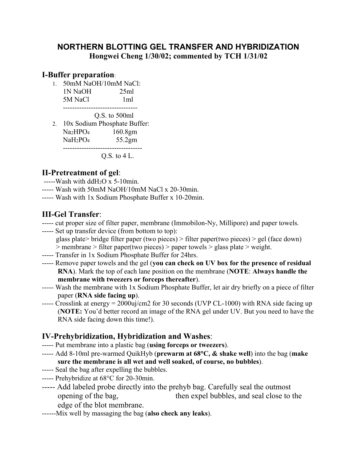## **NORTHERN BLOTTING GEL TRANSFER AND HYBRIDIZATION Hongwei Cheng 1/30/02; commented by TCH 1/31/02**

#### **I-Buffer preparation**:

1. 50mM NaOH/10mM NaCl:  $1N$  NaOH  $25ml$ 5M NaCl 1ml

--------------------------------

Q.S. to 500ml

2. 10x Sodium Phosphate Buffer: Na2HPO4 160.8gm NaH<sub>2</sub>PO<sub>4</sub> 55.2gm ----------------------------------

Q.S. to 4 L.

## **II-Pretreatment of gel**:

- $---$ Wash with ddH<sub>2</sub>O x 5-10min.
- ----- Wash with 50mM NaOH/10mM NaCl x 20-30min.
- ----- Wash with 1x Sodium Phosphate Buffer x 10-20min.

# **III-Gel Transfer**:

- ----- cut proper size of filter paper, membrane (Immobilon-Ny, Millipore) and paper towels.
- ----- Set up transfer device (from bottom to top): glass plate> bridge filter paper (two pieces) > filter paper(two pieces) > gel (face down) > membrane > filter paper(two pieces) > paper towels > glass plate > weight.
- ----- Transfer in 1x Sodium Phosphate Buffer for 24hrs.
- ----- Remove paper towels and the gel (**you can check on UV box for the presence of residual RNA**). Mark the top of each lane position on the membrane (**NOTE**: **Always handle the membrane with tweezers or forceps thereafter**).
- ----- Wash the membrane with 1x Sodium Phosphate Buffer, let air dry briefly on a piece of filter paper (**RNA side facing up**).
- ----- Crosslink at energy = 2000uj/cm2 for 30 seconds (UVP CL-1000) with RNA side facing up (**NOTE:** You'd better record an image of the RNA gel under UV. But you need to have the RNA side facing down this time!).

#### **IV-Prehybridization, Hybridization and Washes**:

- ----- Put membrane into a plastic bag (**using forceps or tweezers**).
- ----- Add 8-10ml pre-warmed QuikHyb (**prewarm at 68C, & shake well**) into the bag (**make sure the membrane is all wet and well soaked, of course, no bubbles**).
- ----- Seal the bag after expelling the bubbles.
- ----- Prehybridize at 68°C for 20-30min.
- ----- Add labeled probe directly into the prehyb bag. Carefully seal the outmost opening of the bag, then expel bubbles, and seal close to the edge of the blot membrane.
- ------Mix well by massaging the bag (**also check any leaks**).